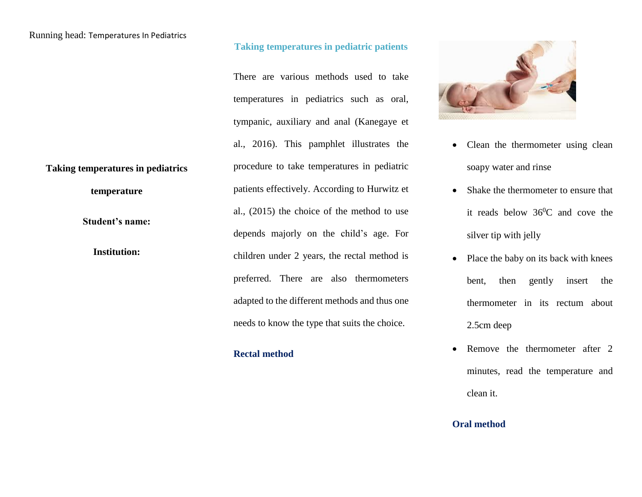## Running head: Temperatures In Pediatrics

# **Taking temperatures in pediatrics**

**temperature**

**Student's name:**

**Institution:** 

### **Taking temperatures in pediatric patients**

There are various methods used to take temperatures in pediatrics such as oral, tympanic, auxiliary and anal (Kanegaye et al., 2016). This pamphlet illustrates the procedure to take temperatures in pediatric patients effectively. According to Hurwitz et al., (2015) the choice of the method to use depends majorly on the child's age. For children under 2 years, the rectal method is preferred. There are also thermometers adapted to the different methods and thus one needs to know the type that suits the choice.

## **Rectal method**



- Clean the thermometer using clean soapy water and rinse
- Shake the thermometer to ensure that it reads below  $36^{\circ}$ C and cove the silver tip with jelly
- Place the baby on its back with knees bent, then gently insert the thermometer in its rectum about 2.5cm deep
- Remove the thermometer after 2 minutes, read the temperature and clean it.

## **Oral method**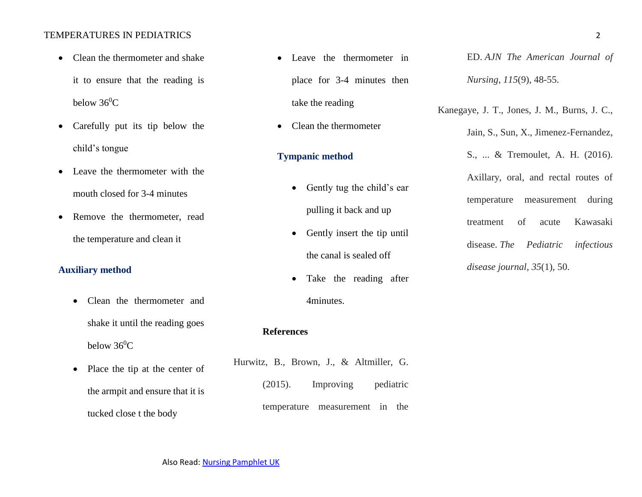#### TEMPERATURES IN PEDIATRICS 2

- Clean the thermometer and shake it to ensure that the reading is below  $36^0C$
- Carefully put its tip below the child's tongue
- Leave the thermometer with the mouth closed for 3-4 minutes
- Remove the thermometer, read the temperature and clean it

## **Auxiliary method**

- Clean the thermometer and shake it until the reading goes below  $36^0C$
- Place the tip at the center of the armpit and ensure that it is tucked close t the body
- Leave the thermometer in place for 3-4 minutes then take the reading
- Clean the thermometer

## **Tympanic method**

- Gently tug the child's ear pulling it back and up
- Gently insert the tip until the canal is sealed off
- Take the reading after 4minutes.

### **References**

Hurwitz, B., Brown, J., & Altmiller, G. (2015). Improving pediatric temperature measurement in the

ED. *AJN The American Journal of Nursing*, *115*(9), 48-55.

Jain, S., Sun, X., Jimenez-Fernandez,

Kanegaye, J. T., Jones, J. M., Burns, J. C.,

S., ... & Tremoulet, A. H. (2016). Axillary, oral, and rectal routes of temperature measurement during treatment of acute Kawasaki disease. *The Pediatric infectious disease journal*, *35*(1), 50.

Also Read[: Nursing Pamphlet UK](https://www.nursingessaywriters.co.uk/buy-nursing-pamphlet-uk)